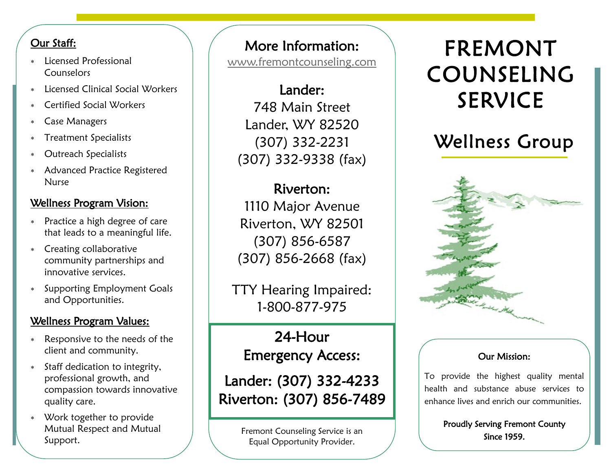### Our Staff:

- Licensed Professional **Counselors**
- Licensed Clinical Social Workers
- Certified Social Workers
- Case Managers
- Treatment Specialists
- Outreach Specialists
- Advanced Practice Registered Nurse

## Wellness Program Vision:

- Practice a high degree of care that leads to a meaningful life.
- Creating collaborative community partnerships and innovative services.
- Supporting Employment Goals and Opportunities.

### Wellness Program Values:

- Responsive to the needs of the client and community.
- Staff dedication to integrity, professional growth, and compassion towards innovative quality care.
- Work together to provide Mutual Respect and Mutual Support.

## More Information:

[www.fremontcounseling.com](http://www.fremontcounseling.com)

Lander: 748 Main Street Lander, WY 82520 (307) 332-2231 (307) 332-9338 (fax)

## Riverton:

1110 Major Avenue Riverton, WY 82501 (307) 856-6587 (307) 856-2668 (fax)

TTY Hearing Impaired: 1-800-877-975

24-Hour Emergency Access:

Lander: (307) 332-4233 Riverton: (307) 856-7489

> Fremont Counseling Service is an Equal Opportunity Provider.

# FREMONT COUNSELING SERVICE

## Wellness Group



## Our Mission:

To provide the highest quality mental health and substance abuse services to enhance lives and enrich our communities.

> Proudly Serving Fremont County Since 1959.